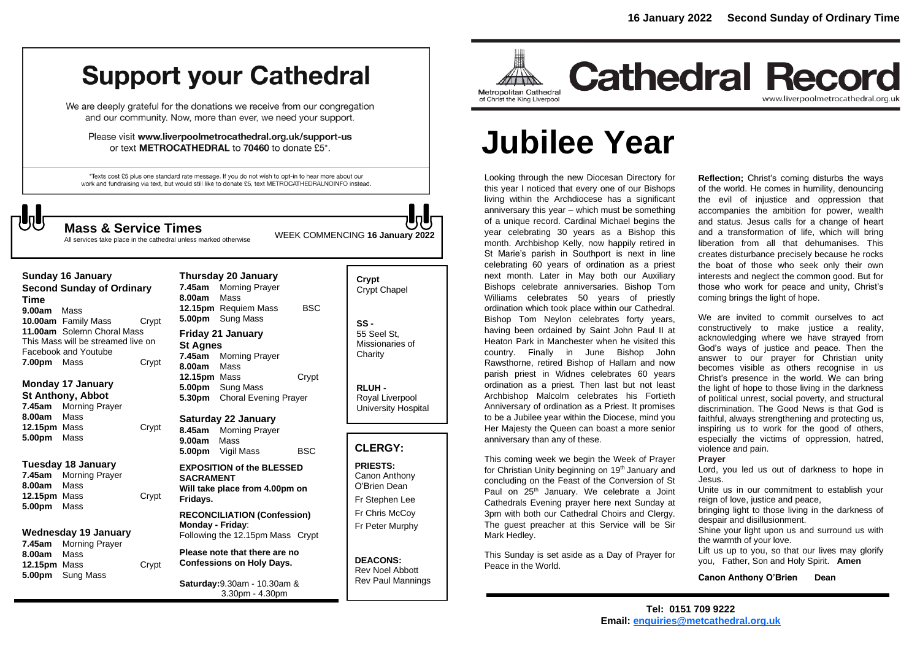## **Support your Cathedral**

We are deeply grateful for the donations we receive from our congregation and our community. Now, more than ever, we need your support.

Please visit www.liverpoolmetrocathedral.org.uk/support-us or text METROCATHEDRAL to 70460 to donate £5\*.

\*Texts cost £5 plus one standard rate message. If you do not wish to opt-in to hear more about our work and fundraising via text, but would still like to donate £5, text METROCATHEDRALNOINFO instead.

WEEK COMMENCING **<sup>16</sup> January 2022 Mass & Service Times**

**Crypt** 

All services take place in the cathedral unless marked otherwise

**Sunday 16 January Second Sunday of Ordinary Time 9.00am** Mass **10.00am** Family Mass Crypt **11.00am** Solemn Choral Mass This Mass will be streamed live on Facebook and Youtube **7.00pm** Mass **Crypt** 

**Monday 17 January St Anthony, Abbot**

**7.45am** Morning Prayer **8.00am** Mass **12.15pm** Mass Crypt **5.00pm** Mass

#### **Tuesday 18 January**

**7.45am** Morning Prayer **8.00am** Mass **12.15pm** Mass Crypt **5.00pm** Mass

#### **Wednesday 19 January**

**7.45am** Morning Prayer **8.00am** Mass **12.15pm** Mass Crypt **5.00pm** Sung Mass

**Thursday 20 January 7.45am** Morning Prayer **8.00am** Mass **12.15pm** Requiem Mass BSC **5.00pm** Sung Mass **Friday 21 January St Agnes 7.45am** Morning Prayer **8.00am** Mass **12.15pm** Mass Crypt **5.00pm** Sung Mass **5.30pm** Choral Evening Prayer

**Saturday 22 January 8.45am** Morning Prayer **9.00am** Mass **5.00pm** Vigil Mass BSC

**EXPOSITION of the BLESSED SACRAMENT Will take place from 4.00pm on Fridays.**

**RECONCILIATION (Confession) Monday - Friday**: Following the 12.15pm Mass Crypt

**Please note that there are no Confessions on Holy Days.**

**Saturday:**9.30am - 10.30am & 3.30pm - 4.30pm

## Crypt Chapel **SS -** 55 Seel St, Missionaries of **Charity RLUH -** Royal Liverpool University Hospital **CLERGY:**

**PRIESTS:** Canon Anthony O'Brien *Dean* Fr Stephen Lee Fr Chris McCoy Fr Peter Murphy

**DEACONS:** Rev Noel Abbott Rev Paul Mannings



## **Cathedral Record** www.liverpoolmetrocathedral.org.uk

# **Jubilee Year**

Looking through the new Diocesan Directory for this year I noticed that every one of our Bishops living within the Archdiocese has a significant anniversary this year – which must be something of a unique record. Cardinal Michael begins the year celebrating 30 years as a Bishop this month. Archbishop Kelly, now happily retired in St Marie's parish in Southport is next in line celebrating 60 years of ordination as a priest next month. Later in May both our Auxiliary Bishops celebrate anniversaries. Bishop Tom Williams celebrates 50 years of priestly ordination which took place within our Cathedral. Bishop Tom Neylon celebrates forty years, having been ordained by Saint John Paul II at Heaton Park in Manchester when he visited this country. Finally in June Bishop John Rawsthorne, retired Bishop of Hallam and now parish priest in Widnes celebrates 60 years ordination as a priest. Then last but not least Archbishop Malcolm celebrates his Fortieth Anniversary of ordination as a Priest. It promises to be a Jubilee year within the Diocese, mind you Her Majesty the Queen can boast a more senior anniversary than any of these.

This coming week we begin the Week of Prayer for Christian Unity beginning on 19<sup>th</sup> January and concluding on the Feast of the Conversion of St Paul on 25<sup>th</sup> January. We celebrate a Joint Cathedrals Evening prayer here next Sunday at 3pm with both our Cathedral Choirs and Clergy. The guest preacher at this Service will be Sir Mark Hedley.

This Sunday is set aside as a Day of Prayer for Peace in the World.

**Reflection;** Christ's coming disturbs the ways of the world. He comes in humility, denouncing the evil of injustice and oppression that accompanies the ambition for power, wealth and status. Jesus calls for a change of heart and a transformation of life, which will bring liberation from all that dehumanises. This creates disturbance precisely because he rocks the boat of those who seek only their own interests and neglect the common good. But for those who work for peace and unity, Christ's coming brings the light of hope.

We are invited to commit ourselves to act constructively to make justice a reality, acknowledging where we have strayed from God's ways of justice and peace. Then the answer to our prayer for Christian unity becomes visible as others recognise in us Christ's presence in the world. We can bring the light of hope to those living in the darkness of political unrest, social poverty, and structural discrimination. The Good News is that God is faithful, always strengthening and protecting us, inspiring us to work for the good of others, especially the victims of oppression, hatred, violence and pain.

#### **Prayer**

Lord, you led us out of darkness to hope in Jesus.

Unite us in our commitment to establish your reign of love, justice and peace,

bringing light to those living in the darkness of despair and disillusionment.

Shine your light upon us and surround us with the warmth of your love.

Lift us up to you, so that our lives may glorify you, Father, Son and Holy Spirit. **Amen**

#### **Canon Anthony O'Brien Dean**